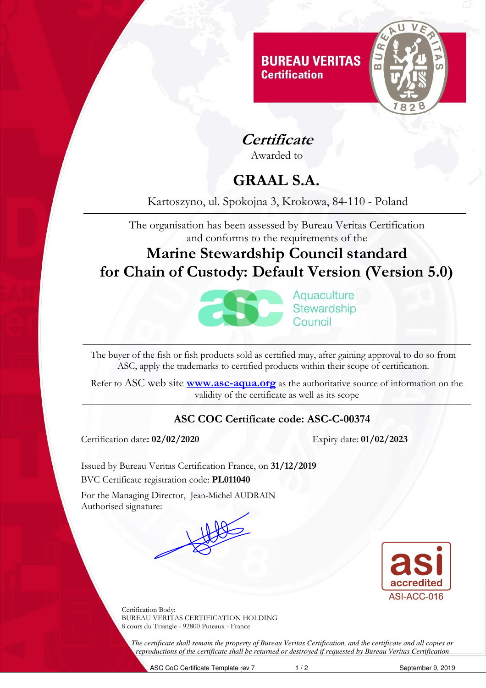

**Certificate**

Awarded to

# **GRAAL S.A.**

### Kartoszyno, ul. Spokojna 3, Krokowa, 84-110 - Poland

The organisation has been assessed by Bureau Veritas Certification and conforms to the requirements of the

## **Marine Stewardship Council standard for Chain of Custody: Default Version (Version 5.0)**



Aquaculture Stewardship Council

The buyer of the fish or fish products sold as certified may, after gaining approval to do so from ASC, apply the trademarks to certified products within their scope of certification.

Refer to ASC web site **www.asc-aqua.org** as the authoritative source of information on the validity of the certificate as well as its scope

#### **ASC COC Certificate code: ASC-C-00374**

Certification date**: 02/02/2020** Expiry date: **01/02/2023** 

Issued by Bureau Veritas Certification France, on **31/12/2019**  BVC Certificate registration code: **PL011040** 

For the Managing Director, Jean-Michel AUDRAIN Authorised signature:





Certification Body: BUREAU VERITAS CERTIFICATION HOLDING 8 cours du Triangle - 92800 Puteaux - France

*The certificate shall remain the property of Bureau Veritas Certification, and the certificate and all copies or reproductions of the certificate shall be returned or destroyed if requested by Bureau Veritas Certification*